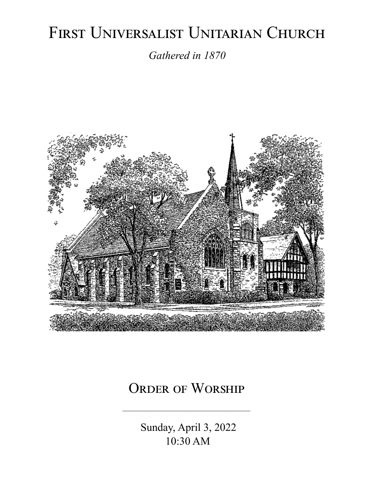# FIRST UNIVERSALIST UNITARIAN CHURCH

*Gathered in 1870*



# ORDER OF WORSHIP

 Sunday, April 3, 2022 10:30 AM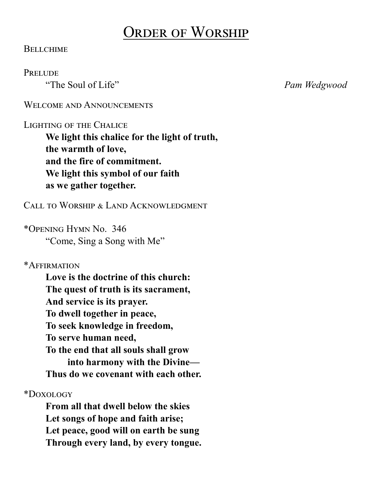# Order of Worship

#### **BELLCHIME**

#### **PRELUDE**

"The Soul of Life" *Pam Wedgwood*

#### WELCOME AND ANNOUNCEMENTS

#### Lighting of the Chalice

**We light this chalice for the light of truth, the warmth of love, and the fire of commitment. We light this symbol of our faith as we gather together.**

Call to Worship & Land Acknowledgment

\*Opening Hymn No. 346 "Come, Sing a Song with Me"

#### \*Affirmation

**Love is the doctrine of this church: The quest of truth is its sacrament, And service is its prayer. To dwell together in peace, To seek knowledge in freedom, To serve human need, To the end that all souls shall grow into harmony with the Divine— Thus do we covenant with each other.**

\*Doxology

**From all that dwell below the skies Let songs of hope and faith arise; Let peace, good will on earth be sung Through every land, by every tongue.**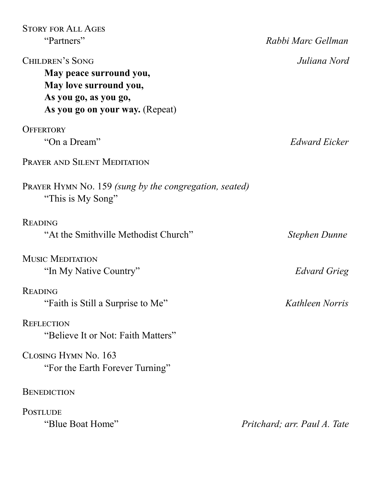| <b>STORY FOR ALL AGES</b>                                                   |                              |
|-----------------------------------------------------------------------------|------------------------------|
| "Partners"                                                                  | Rabbi Marc Gellman           |
| <b>CHILDREN'S SONG</b>                                                      | Juliana Nord                 |
| May peace surround you,                                                     |                              |
| May love surround you,                                                      |                              |
| As you go, as you go,                                                       |                              |
| As you go on your way. (Repeat)                                             |                              |
| <b>OFFERTORY</b>                                                            |                              |
| "On a Dream"                                                                | Edward Eicker                |
| <b>PRAYER AND SILENT MEDITATION</b>                                         |                              |
| PRAYER HYMN No. 159 (sung by the congregation, seated)<br>"This is My Song" |                              |
| <b>READING</b>                                                              |                              |
| "At the Smithville Methodist Church"                                        | Stephen Dunne                |
| <b>MUSIC MEDITATION</b>                                                     |                              |
| "In My Native Country"                                                      | Edvard Grieg                 |
| <b>READING</b>                                                              |                              |
| "Faith is Still a Surprise to Me"                                           | Kathleen Norris              |
| <b>REFLECTION</b>                                                           |                              |
| "Believe It or Not: Faith Matters"                                          |                              |
| CLOSING HYMN No. 163                                                        |                              |
| "For the Earth Forever Turning"                                             |                              |
| <b>BENEDICTION</b>                                                          |                              |
| <b>POSTLUDE</b>                                                             |                              |
| "Blue Boat Home"                                                            | Pritchard; arr. Paul A. Tate |